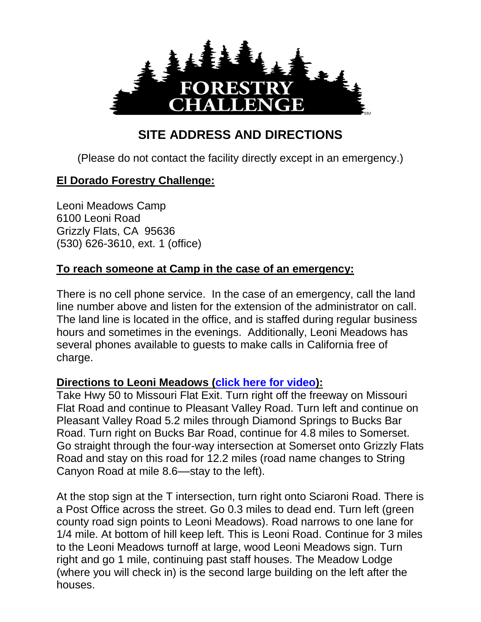

## **SITE ADDRESS AND DIRECTIONS**

(Please do not contact the facility directly except in an emergency.)

## **El Dorado Forestry Challenge:**

Leoni Meadows Camp 6100 Leoni Road Grizzly Flats, CA 95636 (530) 626-3610, ext. 1 (office)

## **To reach someone at Camp in the case of an emergency:**

There is no cell phone service. In the case of an emergency, call the land line number above and listen for the extension of the administrator on call. The land line is located in the office, and is staffed during regular business hours and sometimes in the evenings. Additionally, Leoni Meadows has several phones available to guests to make calls in California free of charge.

## **Directions to Leoni Meadows [\(click here for video\)](https://youtu.be/kORPogbya3c):**

Take Hwy 50 to Missouri Flat Exit. Turn right off the freeway on Missouri Flat Road and continue to Pleasant Valley Road. Turn left and continue on Pleasant Valley Road 5.2 miles through Diamond Springs to Bucks Bar Road. Turn right on Bucks Bar Road, continue for 4.8 miles to Somerset. Go straight through the four-way intersection at Somerset onto Grizzly Flats Road and stay on this road for 12.2 miles (road name changes to String Canyon Road at mile 8.6––stay to the left).

At the stop sign at the T intersection, turn right onto Sciaroni Road. There is a Post Office across the street. Go 0.3 miles to dead end. Turn left (green county road sign points to Leoni Meadows). Road narrows to one lane for 1/4 mile. At bottom of hill keep left. This is Leoni Road. Continue for 3 miles to the Leoni Meadows turnoff at large, wood Leoni Meadows sign. Turn right and go 1 mile, continuing past staff houses. The Meadow Lodge (where you will check in) is the second large building on the left after the houses.